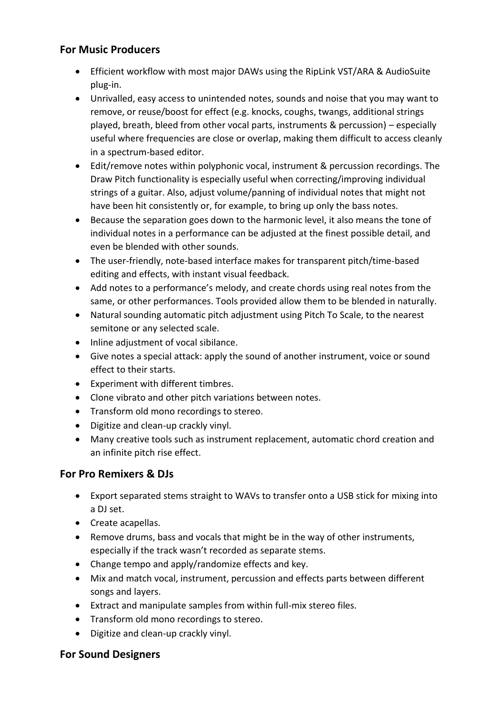### **For Music Producers**

- Efficient workflow with most major DAWs using the RipLink VST/ARA & AudioSuite plug-in.
- Unrivalled, easy access to unintended notes, sounds and noise that you may want to remove, or reuse/boost for effect (e.g. knocks, coughs, twangs, additional strings played, breath, bleed from other vocal parts, instruments & percussion) – especially useful where frequencies are close or overlap, making them difficult to access cleanly in a spectrum-based editor.
- Edit/remove notes within polyphonic vocal, instrument & percussion recordings. The Draw Pitch functionality is especially useful when correcting/improving individual strings of a guitar. Also, adjust volume/panning of individual notes that might not have been hit consistently or, for example, to bring up only the bass notes.
- Because the separation goes down to the harmonic level, it also means the tone of individual notes in a performance can be adjusted at the finest possible detail, and even be blended with other sounds.
- The user-friendly, note-based interface makes for transparent pitch/time-based editing and effects, with instant visual feedback.
- Add notes to a performance's melody, and create chords using real notes from the same, or other performances. Tools provided allow them to be blended in naturally.
- Natural sounding automatic pitch adjustment using Pitch To Scale, to the nearest semitone or any selected scale.
- Inline adjustment of vocal sibilance.
- Give notes a special attack: apply the sound of another instrument, voice or sound effect to their starts.
- Experiment with different timbres.
- Clone vibrato and other pitch variations between notes.
- Transform old mono recordings to stereo.
- Digitize and clean-up crackly vinyl.
- Many creative tools such as instrument replacement, automatic chord creation and an infinite pitch rise effect.

# **For Pro Remixers & DJs**

- Export separated stems straight to WAVs to transfer onto a USB stick for mixing into a DJ set.
- Create acapellas.
- Remove drums, bass and vocals that might be in the way of other instruments, especially if the track wasn't recorded as separate stems.
- Change tempo and apply/randomize effects and key.
- Mix and match vocal, instrument, percussion and effects parts between different songs and layers.
- Extract and manipulate samples from within full-mix stereo files.
- Transform old mono recordings to stereo.
- Digitize and clean-up crackly vinyl.

# **For Sound Designers**